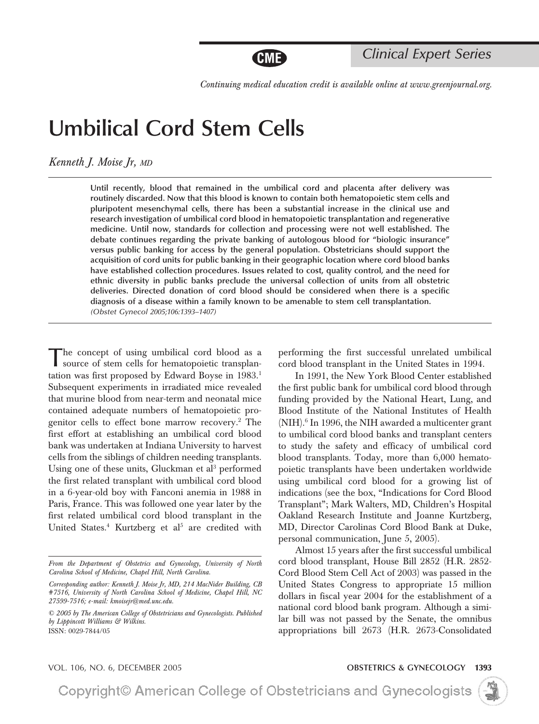

*Continuing medical education credit is available online at www.greenjournal.org.*

# **Umbilical Cord Stem Cells**

*Kenneth J. Moise Jr, MD*

**Until recently, blood that remained in the umbilical cord and placenta after delivery was routinely discarded. Now that this blood is known to contain both hematopoietic stem cells and pluripotent mesenchymal cells, there has been a substantial increase in the clinical use and research investigation of umbilical cord blood in hematopoietic transplantation and regenerative medicine. Until now, standards for collection and processing were not well established. The debate continues regarding the private banking of autologous blood for "biologic insurance" versus public banking for access by the general population. Obstetricians should support the acquisition of cord units for public banking in their geographic location where cord blood banks have established collection procedures. Issues related to cost, quality control, and the need for ethnic diversity in public banks preclude the universal collection of units from all obstetric deliveries. Directed donation of cord blood should be considered when there is a specific diagnosis of a disease within a family known to be amenable to stem cell transplantation.** *(Obstet Gynecol 2005;106:1393–1407)*

The concept of using umbilical cord blood as a<br>source of stem cells for hematopoietic transplantation was first proposed by Edward Boyse in 1983.<sup>1</sup> Subsequent experiments in irradiated mice revealed that murine blood from near-term and neonatal mice contained adequate numbers of hematopoietic progenitor cells to effect bone marrow recovery.2 The first effort at establishing an umbilical cord blood bank was undertaken at Indiana University to harvest cells from the siblings of children needing transplants. Using one of these units, Gluckman et  $al<sup>3</sup>$  performed the first related transplant with umbilical cord blood in a 6-year-old boy with Fanconi anemia in 1988 in Paris, France. This was followed one year later by the first related umbilical cord blood transplant in the United States.<sup>4</sup> Kurtzberg et al<sup>5</sup> are credited with

performing the first successful unrelated umbilical cord blood transplant in the United States in 1994.

In 1991, the New York Blood Center established the first public bank for umbilical cord blood through funding provided by the National Heart, Lung, and Blood Institute of the National Institutes of Health (NIH).<sup>6</sup> In 1996, the NIH awarded a multicenter grant to umbilical cord blood banks and transplant centers to study the safety and efficacy of umbilical cord blood transplants. Today, more than 6,000 hematopoietic transplants have been undertaken worldwide using umbilical cord blood for a growing list of indications (see the box, "Indications for Cord Blood Transplant"; Mark Walters, MD, Children's Hospital Oakland Research Institute and Joanne Kurtzberg, MD, Director Carolinas Cord Blood Bank at Duke, personal communication, June 5, 2005).

Almost 15 years after the first successful umbilical cord blood transplant, House Bill 2852 (H.R. 2852- Cord Blood Stem Cell Act of 2003) was passed in the United States Congress to appropriate 15 million dollars in fiscal year 2004 for the establishment of a national cord blood bank program. Although a similar bill was not passed by the Senate, the omnibus appropriations bill 2673 (H.R. 2673-Consolidated



*From the Department of Obstetrics and Gynecology, University of North Carolina School of Medicine, Chapel Hill, North Carolina.*

*Corresponding author: Kenneth J. Moise Jr, MD, 214 MacNider Building, CB #7516, University of North Carolina School of Medicine, Chapel Hill, NC 27599-7516; e-mail: kmoisejr@med.unc.edu.*

*<sup>© 2005</sup> by The American College of Obstetricians and Gynecologists. Published by Lippincott Williams & Wilkins.* ISSN: 0029-7844/05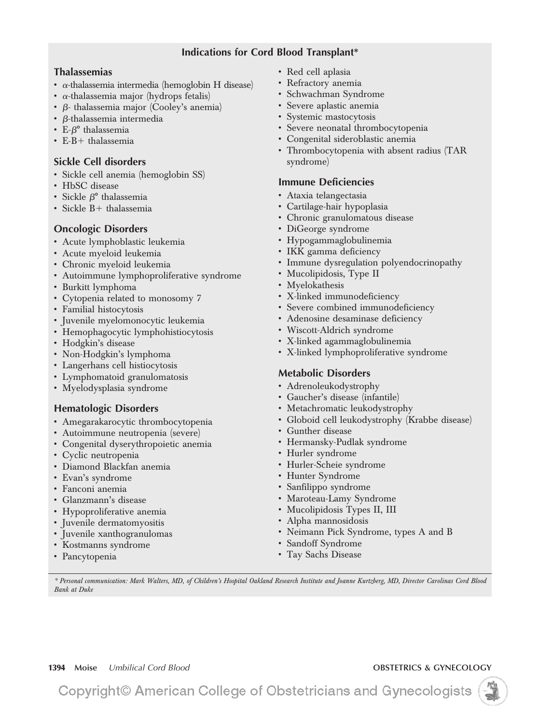# **Indications for Cord Blood Transplant\***

# **Thalassemias**

- $\alpha$ -thalassemia intermedia (hemoglobin H disease)
- $\alpha$ -thalassemia major (hydrops fetalis)
- $\beta$  thalassemia major (Cooley's anemia)
- $\cdot$   $\beta$ -thalassemia intermedia
- E- $\beta^{\circ}$  thalassemia
- $\cdot$  E-B+ thalassemia

# **Sickle Cell disorders**

- Sickle cell anemia (hemoglobin SS)
- HbSC disease
- Sickle  $\beta^{\circ}$  thalassemia
- Sickle  $B+$  thalassemia

# **Oncologic Disorders**

- Acute lymphoblastic leukemia
- Acute myeloid leukemia
- Chronic myeloid leukemia
- Autoimmune lymphoproliferative syndrome
- Burkitt lymphoma
- Cytopenia related to monosomy 7
- Familial histocytosis
- Juvenile myelomonocytic leukemia
- Hemophagocytic lymphohistiocytosis
- Hodgkin's disease
- Non-Hodgkin's lymphoma
- Langerhans cell histiocytosis
- Lymphomatoid granulomatosis
- Myelodysplasia syndrome

# **Hematologic Disorders**

- Amegarakarocytic thrombocytopenia
- Autoimmune neutropenia (severe)
- Congenital dyserythropoietic anemia
- Cyclic neutropenia
- Diamond Blackfan anemia
- Evan's syndrome
- Fanconi anemia
- Glanzmann's disease
- Hypoproliferative anemia
- Juvenile dermatomyositis
- Juvenile xanthogranulomas
- Kostmanns syndrome
- Pancytopenia
- Red cell aplasia
- Refractory anemia
- Schwachman Syndrome
- Severe aplastic anemia
- Systemic mastocytosis
- Severe neonatal thrombocytopenia
- Congenital sideroblastic anemia
- Thrombocytopenia with absent radius (TAR syndrome)

# **Immune Deficiencies**

- Ataxia telangectasia
- Cartilage-hair hypoplasia
- Chronic granulomatous disease
- DiGeorge syndrome
- Hypogammaglobulinemia
- IKK gamma deficiency
- Immune dysregulation polyendocrinopathy
- Mucolipidosis, Type II
- Myelokathesis
- X-linked immunodeficiency
- Severe combined immunodeficiency
- Adenosine desaminase deficiency
- Wiscott-Aldrich syndrome
- X-linked agammaglobulinemia
- X-linked lymphoproliferative syndrome

# **Metabolic Disorders**

- Adrenoleukodystrophy
- Gaucher's disease (infantile)
- Metachromatic leukodystrophy
- Globoid cell leukodystrophy (Krabbe disease)
- Gunther disease
- Hermansky-Pudlak syndrome
- Hurler syndrome
- Hurler-Scheie syndrome
- Hunter Syndrome
- Sanfilippo syndrome
- Maroteau-Lamy Syndrome
- Mucolipidosis Types II, III
- Alpha mannosidosis
- Neimann Pick Syndrome, types A and B
- Sandoff Syndrome
- Tay Sachs Disease

*\* Personal communication: Mark Walters, MD, of Children's Hospital Oakland Research Institute and Joanne Kurtzberg, MD, Director Carolinas Cord Blood Bank at Duke*

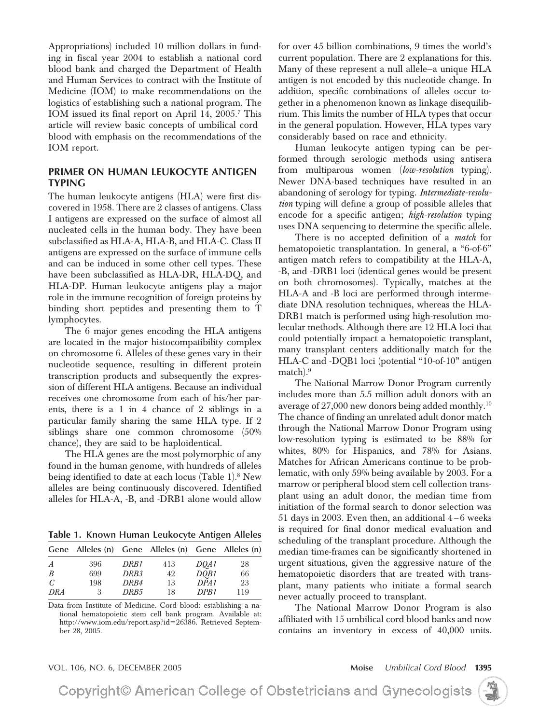Appropriations) included 10 million dollars in funding in fiscal year 2004 to establish a national cord blood bank and charged the Department of Health and Human Services to contract with the Institute of Medicine (IOM) to make recommendations on the logistics of establishing such a national program. The IOM issued its final report on April 14, 2005.<sup>7</sup> This article will review basic concepts of umbilical cord blood with emphasis on the recommendations of the IOM report.

### **PRIMER ON HUMAN LEUKOCYTE ANTIGEN TYPING**

The human leukocyte antigens (HLA) were first discovered in 1958. There are 2 classes of antigens. Class I antigens are expressed on the surface of almost all nucleated cells in the human body. They have been subclassified as HLA-A, HLA-B, and HLA-C. Class II antigens are expressed on the surface of immune cells and can be induced in some other cell types. These have been subclassified as HLA-DR, HLA-DQ, and HLA-DP. Human leukocyte antigens play a major role in the immune recognition of foreign proteins by binding short peptides and presenting them to T lymphocytes.

The 6 major genes encoding the HLA antigens are located in the major histocompatibility complex on chromosome 6. Alleles of these genes vary in their nucleotide sequence, resulting in different protein transcription products and subsequently the expression of different HLA antigens. Because an individual receives one chromosome from each of his/her parents, there is a 1 in 4 chance of 2 siblings in a particular family sharing the same HLA type. If 2 siblings share one common chromosome (50% chance), they are said to be haploidentical.

The HLA genes are the most polymorphic of any found in the human genome, with hundreds of alleles being identified to date at each locus (Table 1).8 New alleles are being continuously discovered. Identified alleles for HLA-A, -B, and -DRB1 alone would allow

**Table 1. Known Human Leukocyte Antigen Alleles**

|                  |     |                  | Gene Alleles (n) Gene Alleles (n) Gene Alleles (n) |                  |     |
|------------------|-----|------------------|----------------------------------------------------|------------------|-----|
| $\boldsymbol{A}$ | 396 | DRB1             | 413                                                | DQA1             | 28  |
| B                | 699 | DRB <sub>3</sub> | 42                                                 | DQB1             | 66  |
| $\mathcal{C}$    | 198 | DRB4             | 13                                                 | DPA <sub>1</sub> | 23  |
| DRA              | 3   | DRB5             | 18                                                 | DPR <sub>1</sub> | 119 |

Data from Institute of Medicine. Cord blood: establishing a national hematopoietic stem cell bank program. Available at: http://www.iom.edu/report.asp?id-26386. Retrieved September 28, 2005.

for over 45 billion combinations, 9 times the world's current population. There are 2 explanations for this. Many of these represent a null allele—a unique HLA antigen is not encoded by this nucleotide change. In addition, specific combinations of alleles occur together in a phenomenon known as linkage disequilibrium. This limits the number of HLA types that occur in the general population. However, HLA types vary considerably based on race and ethnicity.

Human leukocyte antigen typing can be performed through serologic methods using antisera from multiparous women (*low-resolution* typing). Newer DNA-based techniques have resulted in an abandoning of serology for typing. *Intermediate-resolution* typing will define a group of possible alleles that encode for a specific antigen; *high-resolution* typing uses DNA sequencing to determine the specific allele.

There is no accepted definition of a *match* for hematopoietic transplantation. In general, a "6-of-6" antigen match refers to compatibility at the HLA-A, -B, and -DRB1 loci (identical genes would be present on both chromosomes). Typically, matches at the HLA-A and -B loci are performed through intermediate DNA resolution techniques, whereas the HLA-DRB1 match is performed using high-resolution molecular methods. Although there are 12 HLA loci that could potentially impact a hematopoietic transplant, many transplant centers additionally match for the HLA-C and -DQB1 loci (potential "10-of-10" antigen match).<sup>9</sup>

The National Marrow Donor Program currently includes more than 5.5 million adult donors with an average of 27,000 new donors being added monthly.<sup>10</sup> The chance of finding an unrelated adult donor match through the National Marrow Donor Program using low-resolution typing is estimated to be 88% for whites, 80% for Hispanics, and 78% for Asians. Matches for African Americans continue to be problematic, with only 59% being available by 2003. For a marrow or peripheral blood stem cell collection transplant using an adult donor, the median time from initiation of the formal search to donor selection was 51 days in 2003. Even then, an additional  $4-6$  weeks is required for final donor medical evaluation and scheduling of the transplant procedure. Although the median time-frames can be significantly shortened in urgent situations, given the aggressive nature of the hematopoietic disorders that are treated with transplant, many patients who initiate a formal search never actually proceed to transplant.

The National Marrow Donor Program is also affiliated with 15 umbilical cord blood banks and now contains an inventory in excess of 40,000 units.

VOL. 106, NO. 6, DECEMBER 2005 **Moise** *Umbilical Cord Blood* **1395**

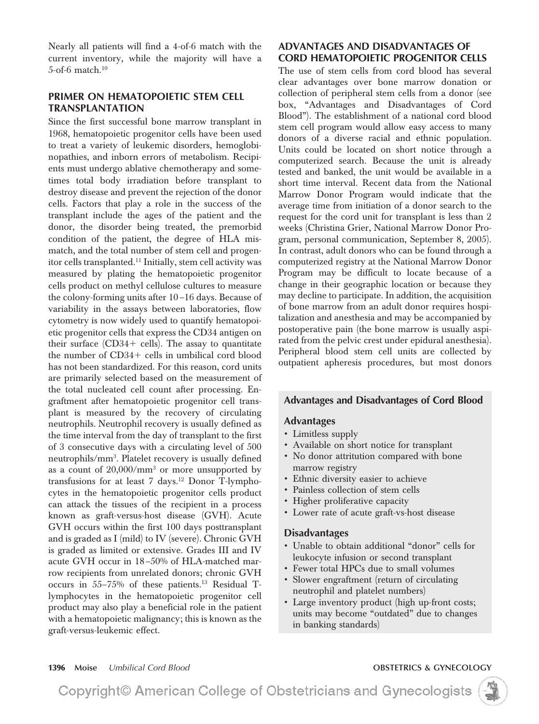Nearly all patients will find a 4-of-6 match with the current inventory, while the majority will have a 5-of-6 match.10

# **PRIMER ON HEMATOPOIETIC STEM CELL TRANSPLANTATION**

Since the first successful bone marrow transplant in 1968, hematopoietic progenitor cells have been used to treat a variety of leukemic disorders, hemoglobinopathies, and inborn errors of metabolism. Recipients must undergo ablative chemotherapy and sometimes total body irradiation before transplant to destroy disease and prevent the rejection of the donor cells. Factors that play a role in the success of the transplant include the ages of the patient and the donor, the disorder being treated, the premorbid condition of the patient, the degree of HLA mismatch, and the total number of stem cell and progenitor cells transplanted.11 Initially, stem cell activity was measured by plating the hematopoietic progenitor cells product on methyl cellulose cultures to measure the colony-forming units after 10 –16 days. Because of variability in the assays between laboratories, flow cytometry is now widely used to quantify hematopoietic progenitor cells that express the CD34 antigen on their surface  $(CD34 + \text{cells})$ . The assay to quantitate the number of  $CD34+$  cells in umbilical cord blood has not been standardized. For this reason, cord units are primarily selected based on the measurement of the total nucleated cell count after processing. Engraftment after hematopoietic progenitor cell transplant is measured by the recovery of circulating neutrophils. Neutrophil recovery is usually defined as the time interval from the day of transplant to the first of 3 consecutive days with a circulating level of 500 neutrophils/mm3 . Platelet recovery is usually defined as a count of  $20,000/\text{mm}^3$  or more unsupported by transfusions for at least 7 days.<sup>12</sup> Donor T-lymphocytes in the hematopoietic progenitor cells product can attack the tissues of the recipient in a process known as graft-versus-host disease (GVH). Acute GVH occurs within the first 100 days posttransplant and is graded as I (mild) to IV (severe). Chronic GVH is graded as limited or extensive. Grades III and IV acute GVH occur in 18 –50% of HLA-matched marrow recipients from unrelated donors; chronic GVH occurs in  $55-75%$  of these patients.<sup>13</sup> Residual Tlymphocytes in the hematopoietic progenitor cell product may also play a beneficial role in the patient with a hematopoietic malignancy; this is known as the graft-versus-leukemic effect.

# **ADVANTAGES AND DISADVANTAGES OF CORD HEMATOPOIETIC PROGENITOR CELLS**

The use of stem cells from cord blood has several clear advantages over bone marrow donation or collection of peripheral stem cells from a donor (see box, "Advantages and Disadvantages of Cord Blood"). The establishment of a national cord blood stem cell program would allow easy access to many donors of a diverse racial and ethnic population. Units could be located on short notice through a computerized search. Because the unit is already tested and banked, the unit would be available in a short time interval. Recent data from the National Marrow Donor Program would indicate that the average time from initiation of a donor search to the request for the cord unit for transplant is less than 2 weeks (Christina Grier, National Marrow Donor Program, personal communication, September 8, 2005). In contrast, adult donors who can be found through a computerized registry at the National Marrow Donor Program may be difficult to locate because of a change in their geographic location or because they may decline to participate. In addition, the acquisition of bone marrow from an adult donor requires hospitalization and anesthesia and may be accompanied by postoperative pain (the bone marrow is usually aspirated from the pelvic crest under epidural anesthesia). Peripheral blood stem cell units are collected by outpatient apheresis procedures, but most donors

# **Advantages and Disadvantages of Cord Blood**

# **Advantages**

- Limitless supply
- Available on short notice for transplant
- No donor attritution compared with bone marrow registry
- Ethnic diversity easier to achieve
- Painless collection of stem cells
- Higher proliferative capacity
- Lower rate of acute graft-vs-host disease

### **Disadvantages**

- Unable to obtain additional "donor" cells for leukocyte infusion or second transplant
- Fewer total HPCs due to small volumes
- Slower engraftment (return of circulating neutrophil and platelet numbers)
- Large inventory product (high up-front costs; units may become "outdated" due to changes in banking standards)

**1396 Moise** *Umbilical Cord Blood* **OBSTETRICS & GYNECOLOGY**

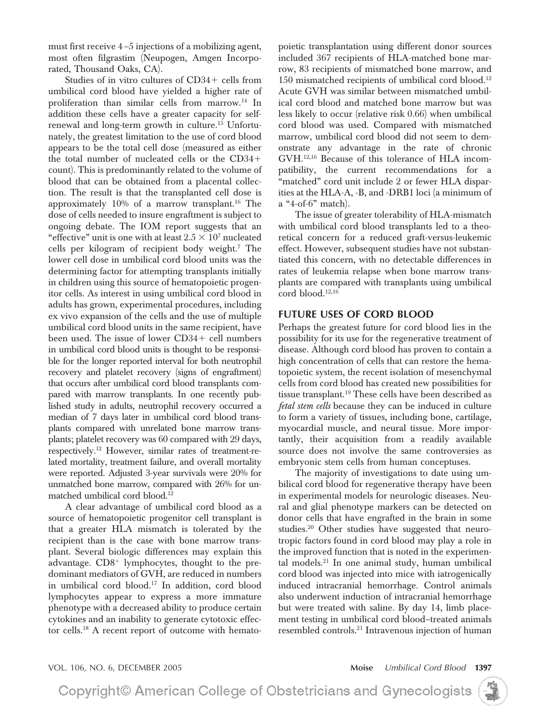must first receive  $4-5$  injections of a mobilizing agent, most often filgrastim (Neupogen, Amgen Incorporated, Thousand Oaks, CA).

Studies of in vitro cultures of  $CD34 +$  cells from umbilical cord blood have yielded a higher rate of proliferation than similar cells from marrow.<sup>14</sup> In addition these cells have a greater capacity for selfrenewal and long-term growth in culture.<sup>15</sup> Unfortunately, the greatest limitation to the use of cord blood appears to be the total cell dose (measured as either the total number of nucleated cells or the CD34 count). This is predominantly related to the volume of blood that can be obtained from a placental collection. The result is that the transplanted cell dose is approximately  $10\%$  of a marrow transplant.<sup>16</sup> The dose of cells needed to insure engraftment is subject to ongoing debate. The IOM report suggests that an "effective" unit is one with at least  $2.5 \times 10^7$  nucleated cells per kilogram of recipient body weight.<sup>7</sup> The lower cell dose in umbilical cord blood units was the determining factor for attempting transplants initially in children using this source of hematopoietic progenitor cells. As interest in using umbilical cord blood in adults has grown, experimental procedures, including ex vivo expansion of the cells and the use of multiple umbilical cord blood units in the same recipient, have been used. The issue of lower CD34+ cell numbers in umbilical cord blood units is thought to be responsible for the longer reported interval for both neutrophil recovery and platelet recovery (signs of engraftment) that occurs after umbilical cord blood transplants compared with marrow transplants. In one recently published study in adults, neutrophil recovery occurred a median of 7 days later in umbilical cord blood transplants compared with unrelated bone marrow transplants; platelet recovery was 60 compared with 29 days, respectively.12 However, similar rates of treatment-related mortality, treatment failure, and overall mortality were reported. Adjusted 3-year survivals were 20% for unmatched bone marrow, compared with 26% for unmatched umbilical cord blood.12

A clear advantage of umbilical cord blood as a source of hematopoietic progenitor cell transplant is that a greater HLA mismatch is tolerated by the recipient than is the case with bone marrow transplant. Several biologic differences may explain this advantage.  $CD8<sup>+</sup>$  lymphocytes, thought to the predominant mediators of GVH, are reduced in numbers in umbilical cord blood.17 In addition, cord blood lymphocytes appear to express a more immature phenotype with a decreased ability to produce certain cytokines and an inability to generate cytotoxic effector cells.18 A recent report of outcome with hematopoietic transplantation using different donor sources included 367 recipients of HLA-matched bone marrow, 83 recipients of mismatched bone marrow, and 150 mismatched recipients of umbilical cord blood.12 Acute GVH was similar between mismatched umbilical cord blood and matched bone marrow but was less likely to occur (relative risk 0.66) when umbilical cord blood was used. Compared with mismatched marrow, umbilical cord blood did not seem to demonstrate any advantage in the rate of chronic GVH.12,16 Because of this tolerance of HLA incompatibility, the current recommendations for a "matched" cord unit include 2 or fewer HLA disparities at the HLA-A, -B, and -DRB1 loci (a minimum of a "4-of-6" match).

The issue of greater tolerability of HLA-mismatch with umbilical cord blood transplants led to a theoretical concern for a reduced graft-versus-leukemic effect. However, subsequent studies have not substantiated this concern, with no detectable differences in rates of leukemia relapse when bone marrow transplants are compared with transplants using umbilical cord blood.<sup>12,16</sup>

### **FUTURE USES OF CORD BLOOD**

Perhaps the greatest future for cord blood lies in the possibility for its use for the regenerative treatment of disease. Although cord blood has proven to contain a high concentration of cells that can restore the hematopoietic system, the recent isolation of mesenchymal cells from cord blood has created new possibilities for tissue transplant.19 These cells have been described as *fetal stem cells* because they can be induced in culture to form a variety of tissues, including bone, cartilage, myocardial muscle, and neural tissue. More importantly, their acquisition from a readily available source does not involve the same controversies as embryonic stem cells from human conceptuses.

The majority of investigations to date using umbilical cord blood for regenerative therapy have been in experimental models for neurologic diseases. Neural and glial phenotype markers can be detected on donor cells that have engrafted in the brain in some studies.<sup>20</sup> Other studies have suggested that neurotropic factors found in cord blood may play a role in the improved function that is noted in the experimental models.21 In one animal study, human umbilical cord blood was injected into mice with iatrogenically induced intracranial hemorrhage. Control animals also underwent induction of intracranial hemorrhage but were treated with saline. By day 14, limb placement testing in umbilical cord blood–treated animals resembled controls.21 Intravenous injection of human

VOL. 106, NO. 6, DECEMBER 2005 **Moise** *Umbilical Cord Blood* **1397**

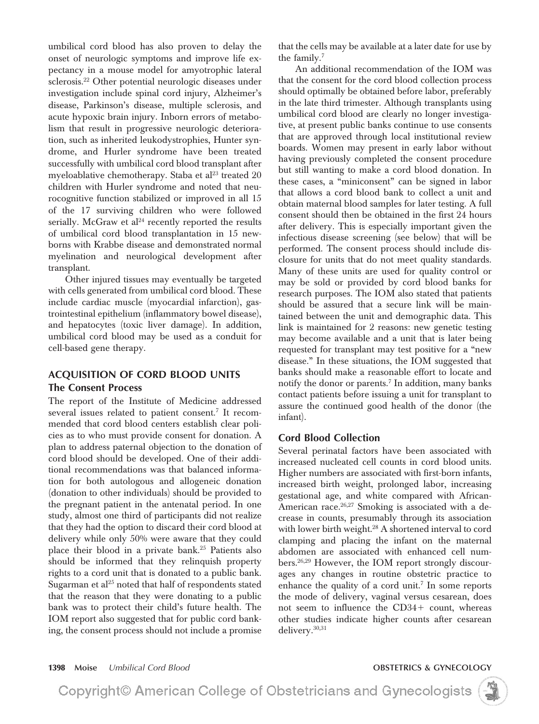umbilical cord blood has also proven to delay the onset of neurologic symptoms and improve life expectancy in a mouse model for amyotrophic lateral sclerosis.22 Other potential neurologic diseases under investigation include spinal cord injury, Alzheimer's disease, Parkinson's disease, multiple sclerosis, and acute hypoxic brain injury. Inborn errors of metabolism that result in progressive neurologic deterioration, such as inherited leukodystrophies, Hunter syndrome, and Hurler syndrome have been treated successfully with umbilical cord blood transplant after myeloablative chemotherapy. Staba et al<sup>23</sup> treated 20 children with Hurler syndrome and noted that neurocognitive function stabilized or improved in all 15 of the 17 surviving children who were followed serially. McGraw et al $24$  recently reported the results of umbilical cord blood transplantation in 15 newborns with Krabbe disease and demonstrated normal myelination and neurological development after transplant.

Other injured tissues may eventually be targeted with cells generated from umbilical cord blood. These include cardiac muscle (myocardial infarction), gastrointestinal epithelium (inflammatory bowel disease), and hepatocytes (toxic liver damage). In addition, umbilical cord blood may be used as a conduit for cell-based gene therapy.

# **ACQUISITION OF CORD BLOOD UNITS The Consent Process**

The report of the Institute of Medicine addressed several issues related to patient consent.<sup>7</sup> It recommended that cord blood centers establish clear policies as to who must provide consent for donation. A plan to address paternal objection to the donation of cord blood should be developed. One of their additional recommendations was that balanced information for both autologous and allogeneic donation (donation to other individuals) should be provided to the pregnant patient in the antenatal period. In one study, almost one third of participants did not realize that they had the option to discard their cord blood at delivery while only 50% were aware that they could place their blood in a private bank.<sup>25</sup> Patients also should be informed that they relinquish property rights to a cord unit that is donated to a public bank. Sugarman et al $25$  noted that half of respondents stated that the reason that they were donating to a public bank was to protect their child's future health. The IOM report also suggested that for public cord banking, the consent process should not include a promise

that the cells may be available at a later date for use by the family.7

An additional recommendation of the IOM was that the consent for the cord blood collection process should optimally be obtained before labor, preferably in the late third trimester. Although transplants using umbilical cord blood are clearly no longer investigative, at present public banks continue to use consents that are approved through local institutional review boards. Women may present in early labor without having previously completed the consent procedure but still wanting to make a cord blood donation. In these cases, a "miniconsent" can be signed in labor that allows a cord blood bank to collect a unit and obtain maternal blood samples for later testing. A full consent should then be obtained in the first 24 hours after delivery. This is especially important given the infectious disease screening (see below) that will be performed. The consent process should include disclosure for units that do not meet quality standards. Many of these units are used for quality control or may be sold or provided by cord blood banks for research purposes. The IOM also stated that patients should be assured that a secure link will be maintained between the unit and demographic data. This link is maintained for 2 reasons: new genetic testing may become available and a unit that is later being requested for transplant may test positive for a "new disease." In these situations, the IOM suggested that banks should make a reasonable effort to locate and notify the donor or parents.<sup>7</sup> In addition, many banks contact patients before issuing a unit for transplant to assure the continued good health of the donor (the infant).

# **Cord Blood Collection**

Several perinatal factors have been associated with increased nucleated cell counts in cord blood units. Higher numbers are associated with first-born infants, increased birth weight, prolonged labor, increasing gestational age, and white compared with African-American race.<sup>26,27</sup> Smoking is associated with a decrease in counts, presumably through its association with lower birth weight.<sup>28</sup> A shortened interval to cord clamping and placing the infant on the maternal abdomen are associated with enhanced cell numbers.26,29 However, the IOM report strongly discourages any changes in routine obstetric practice to enhance the quality of a cord unit.<sup>7</sup> In some reports the mode of delivery, vaginal versus cesarean, does not seem to influence the  $CD34+$  count, whereas other studies indicate higher counts after cesarean delivery.30,31

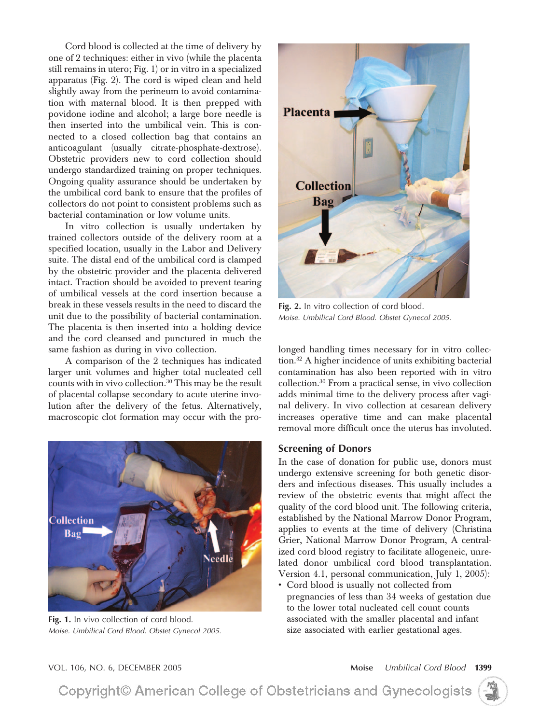Cord blood is collected at the time of delivery by one of 2 techniques: either in vivo (while the placenta still remains in utero; Fig. 1) or in vitro in a specialized apparatus (Fig. 2). The cord is wiped clean and held slightly away from the perineum to avoid contamination with maternal blood. It is then prepped with povidone iodine and alcohol; a large bore needle is then inserted into the umbilical vein. This is connected to a closed collection bag that contains an anticoagulant (usually citrate-phosphate-dextrose). Obstetric providers new to cord collection should undergo standardized training on proper techniques. Ongoing quality assurance should be undertaken by the umbilical cord bank to ensure that the profiles of collectors do not point to consistent problems such as bacterial contamination or low volume units.

In vitro collection is usually undertaken by trained collectors outside of the delivery room at a specified location, usually in the Labor and Delivery suite. The distal end of the umbilical cord is clamped by the obstetric provider and the placenta delivered intact. Traction should be avoided to prevent tearing of umbilical vessels at the cord insertion because a break in these vessels results in the need to discard the unit due to the possibility of bacterial contamination. The placenta is then inserted into a holding device and the cord cleansed and punctured in much the same fashion as during in vivo collection.

A comparison of the 2 techniques has indicated larger unit volumes and higher total nucleated cell counts with in vivo collection.30 This may be the result of placental collapse secondary to acute uterine involution after the delivery of the fetus. Alternatively, macroscopic clot formation may occur with the pro-



Fig. 1. In vivo collection of cord blood. *Moise. Umbilical Cord Blood. Obstet Gynecol 2005.*



**Fig. 2.** In vitro collection of cord blood. *Moise. Umbilical Cord Blood. Obstet Gynecol 2005.*

longed handling times necessary for in vitro collection.32 A higher incidence of units exhibiting bacterial contamination has also been reported with in vitro collection.30 From a practical sense, in vivo collection adds minimal time to the delivery process after vaginal delivery. In vivo collection at cesarean delivery increases operative time and can make placental removal more difficult once the uterus has involuted.

### **Screening of Donors**

In the case of donation for public use, donors must undergo extensive screening for both genetic disorders and infectious diseases. This usually includes a review of the obstetric events that might affect the quality of the cord blood unit. The following criteria, established by the National Marrow Donor Program, applies to events at the time of delivery (Christina Grier, National Marrow Donor Program, A centralized cord blood registry to facilitate allogeneic, unrelated donor umbilical cord blood transplantation. Version 4.1, personal communication, July 1, 2005):

• Cord blood is usually not collected from pregnancies of less than 34 weeks of gestation due to the lower total nucleated cell count counts associated with the smaller placental and infant size associated with earlier gestational ages.

VOL. 106, NO. 6, DECEMBER 2005 **Moise** *Umbilical Cord Blood* **1399**

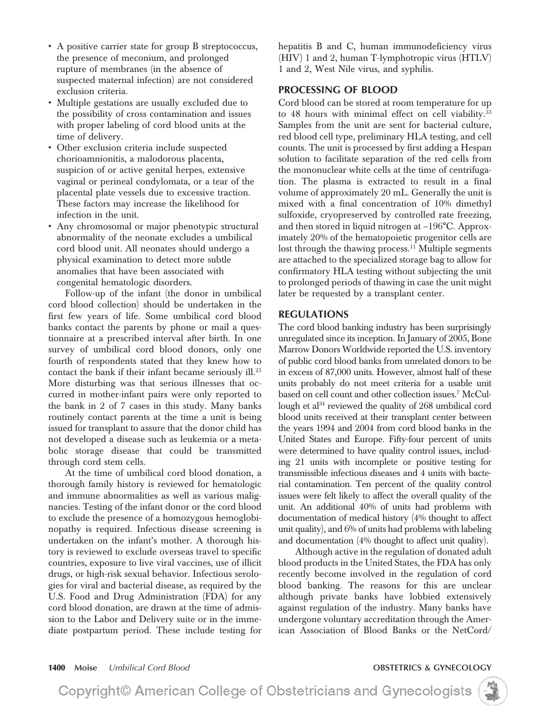- A positive carrier state for group B streptococcus, the presence of meconium, and prolonged rupture of membranes (in the absence of suspected maternal infection) are not considered exclusion criteria.
- Multiple gestations are usually excluded due to the possibility of cross contamination and issues with proper labeling of cord blood units at the time of delivery.
- Other exclusion criteria include suspected chorioamnionitis, a malodorous placenta, suspicion of or active genital herpes, extensive vaginal or perineal condylomata, or a tear of the placental plate vessels due to excessive traction. These factors may increase the likelihood for infection in the unit.
- Any chromosomal or major phenotypic structural abnormality of the neonate excludes a umbilical cord blood unit. All neonates should undergo a physical examination to detect more subtle anomalies that have been associated with congenital hematologic disorders.

Follow-up of the infant (the donor in umbilical cord blood collection) should be undertaken in the first few years of life. Some umbilical cord blood banks contact the parents by phone or mail a questionnaire at a prescribed interval after birth. In one survey of umbilical cord blood donors, only one fourth of respondents stated that they knew how to contact the bank if their infant became seriously ill.<sup>25</sup> More disturbing was that serious illnesses that occurred in mother-infant pairs were only reported to the bank in 2 of 7 cases in this study. Many banks routinely contact parents at the time a unit is being issued for transplant to assure that the donor child has not developed a disease such as leukemia or a metabolic storage disease that could be transmitted through cord stem cells.

At the time of umbilical cord blood donation, a thorough family history is reviewed for hematologic and immune abnormalities as well as various malignancies. Testing of the infant donor or the cord blood to exclude the presence of a homozygous hemoglobinopathy is required. Infectious disease screening is undertaken on the infant's mother. A thorough history is reviewed to exclude overseas travel to specific countries, exposure to live viral vaccines, use of illicit drugs, or high-risk sexual behavior. Infectious serologies for viral and bacterial disease, as required by the U.S. Food and Drug Administration (FDA) for any cord blood donation, are drawn at the time of admission to the Labor and Delivery suite or in the immediate postpartum period. These include testing for

hepatitis B and C, human immunodeficiency virus (HIV) 1 and 2, human T-lymphotropic virus (HTLV) 1 and 2, West Nile virus, and syphilis.

# **PROCESSING OF BLOOD**

Cord blood can be stored at room temperature for up to 48 hours with minimal effect on cell viability.<sup>33</sup> Samples from the unit are sent for bacterial culture, red blood cell type, preliminary HLA testing, and cell counts. The unit is processed by first adding a Hespan solution to facilitate separation of the red cells from the mononuclear white cells at the time of centrifugation. The plasma is extracted to result in a final volume of approximately 20 mL. Generally the unit is mixed with a final concentration of 10% dimethyl sulfoxide, cryopreserved by controlled rate freezing, and then stored in liquid nitrogen at –196°C. Approximately 20% of the hematopoietic progenitor cells are lost through the thawing process.<sup>11</sup> Multiple segments are attached to the specialized storage bag to allow for confirmatory HLA testing without subjecting the unit to prolonged periods of thawing in case the unit might later be requested by a transplant center.

### **REGULATIONS**

The cord blood banking industry has been surprisingly unregulated since its inception. In January of 2005, Bone Marrow Donors Worldwide reported the U.S. inventory of public cord blood banks from unrelated donors to be in excess of 87,000 units. However, almost half of these units probably do not meet criteria for a usable unit based on cell count and other collection issues.7 McCullough et  $al<sup>34</sup>$  reviewed the quality of 268 umbilical cord blood units received at their transplant center between the years 1994 and 2004 from cord blood banks in the United States and Europe. Fifty-four percent of units were determined to have quality control issues, including 21 units with incomplete or positive testing for transmissible infectious diseases and 4 units with bacterial contamination. Ten percent of the quality control issues were felt likely to affect the overall quality of the unit. An additional 40% of units had problems with documentation of medical history (4% thought to affect unit quality), and 6% of units had problems with labeling and documentation (4% thought to affect unit quality).

Although active in the regulation of donated adult blood products in the United States, the FDA has only recently become involved in the regulation of cord blood banking. The reasons for this are unclear although private banks have lobbied extensively against regulation of the industry. Many banks have undergone voluntary accreditation through the American Association of Blood Banks or the NetCord/

### **1400 Moise** *Umbilical Cord Blood* **OBSTETRICS & GYNECOLOGY**

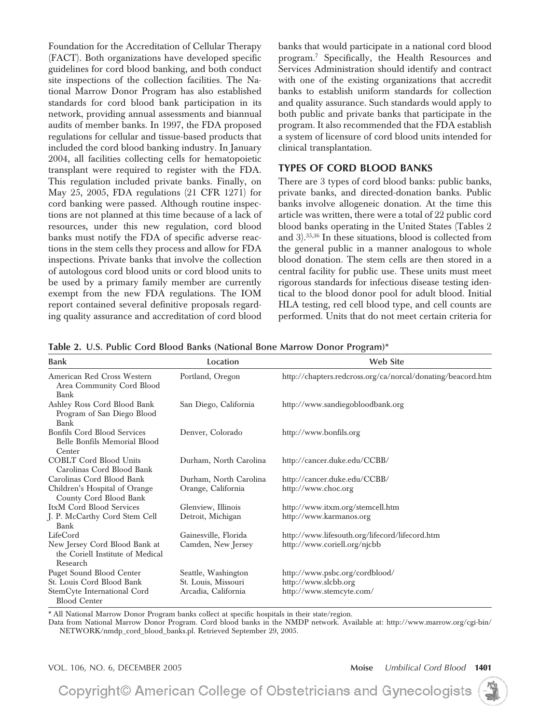Foundation for the Accreditation of Cellular Therapy (FACT). Both organizations have developed specific guidelines for cord blood banking, and both conduct site inspections of the collection facilities. The National Marrow Donor Program has also established standards for cord blood bank participation in its network, providing annual assessments and biannual audits of member banks. In 1997, the FDA proposed regulations for cellular and tissue-based products that included the cord blood banking industry. In January 2004, all facilities collecting cells for hematopoietic transplant were required to register with the FDA. This regulation included private banks. Finally, on May 25, 2005, FDA regulations (21 CFR 1271) for cord banking were passed. Although routine inspections are not planned at this time because of a lack of resources, under this new regulation, cord blood banks must notify the FDA of specific adverse reactions in the stem cells they process and allow for FDA inspections. Private banks that involve the collection of autologous cord blood units or cord blood units to be used by a primary family member are currently exempt from the new FDA regulations. The IOM report contained several definitive proposals regarding quality assurance and accreditation of cord blood

banks that would participate in a national cord blood program.7 Specifically, the Health Resources and Services Administration should identify and contract with one of the existing organizations that accredit banks to establish uniform standards for collection and quality assurance. Such standards would apply to both public and private banks that participate in the program. It also recommended that the FDA establish a system of licensure of cord blood units intended for clinical transplantation.

### **TYPES OF CORD BLOOD BANKS**

There are 3 types of cord blood banks: public banks, private banks, and directed-donation banks. Public banks involve allogeneic donation. At the time this article was written, there were a total of 22 public cord blood banks operating in the United States (Tables 2 and 3).35,36 In these situations, blood is collected from the general public in a manner analogous to whole blood donation. The stem cells are then stored in a central facility for public use. These units must meet rigorous standards for infectious disease testing identical to the blood donor pool for adult blood. Initial HLA testing, red cell blood type, and cell counts are performed. Units that do not meet certain criteria for

| <b>Bank</b>                                                                   | Location               | Web Site                                                    |
|-------------------------------------------------------------------------------|------------------------|-------------------------------------------------------------|
| American Red Cross Western<br>Area Community Cord Blood                       | Portland, Oregon       | http://chapters.redcross.org/ca/norcal/donating/beacord.htm |
| Bank                                                                          |                        |                                                             |
| Ashley Ross Cord Blood Bank<br>Program of San Diego Blood<br>Bank             | San Diego, California  | http://www.sandiegobloodbank.org                            |
| <b>Bonfils Cord Blood Services</b><br>Belle Bonfils Memorial Blood<br>Center  | Denver, Colorado       | http://www.bonfils.org                                      |
| <b>COBLT</b> Cord Blood Units<br>Carolinas Cord Blood Bank                    | Durham, North Carolina | http://cancer.duke.edu/CCBB/                                |
| Carolinas Cord Blood Bank                                                     | Durham, North Carolina | http://cancer.duke.edu/CCBB/                                |
| Children's Hospital of Orange<br>County Cord Blood Bank                       | Orange, California     | http://www.choc.org                                         |
| ItxM Cord Blood Services                                                      | Glenview, Illinois     | http://www.itxm.org/stemcell.htm                            |
| J. P. McCarthy Cord Stem Cell<br>Bank                                         | Detroit, Michigan      | http://www.karmanos.org                                     |
| LifeCord                                                                      | Gainesville, Florida   | http://www.lifesouth.org/lifecord/lifecord.htm              |
| New Jersey Cord Blood Bank at<br>the Coriell Institute of Medical<br>Research | Camden, New Jersey     | http://www.coriell.org/njcbb                                |
| Puget Sound Blood Center                                                      | Seattle, Washington    | http://www.psbc.org/cordblood/                              |
| St. Louis Cord Blood Bank                                                     | St. Louis, Missouri    | http://www.slcbb.org                                        |
| StemCyte International Cord<br><b>Blood Center</b>                            | Arcadia, California    | http://www.stemcyte.com/                                    |

**Table 2. U.S. Public Cord Blood Banks (National Bone Marrow Donor Program)\***

\* All National Marrow Donor Program banks collect at specific hospitals in their state/region.

Data from National Marrow Donor Program. Cord blood banks in the NMDP network. Available at: http://www.marrow.org/cgi-bin/ NETWORK/nmdp\_cord\_blood\_banks.pl. Retrieved September 29, 2005.

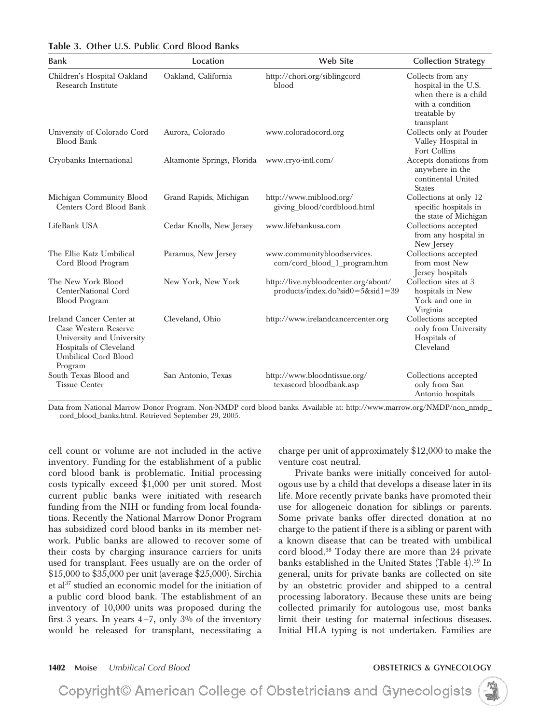| <b>Bank</b>                                                                                                                                       | Location                   | <b>Web Site</b>                                                              | <b>Collection Strategy</b>                                                                                           |
|---------------------------------------------------------------------------------------------------------------------------------------------------|----------------------------|------------------------------------------------------------------------------|----------------------------------------------------------------------------------------------------------------------|
| Children's Hospital Oakland<br>Research Institute                                                                                                 | Oakland, California        | http://chori.org/siblingcord<br>blood                                        | Collects from any<br>hospital in the U.S.<br>when there is a child<br>with a condition<br>treatable by<br>transplant |
| University of Colorado Cord<br><b>Blood Bank</b>                                                                                                  | Aurora, Colorado           | www.coloradocord.org                                                         | Collects only at Pouder<br>Valley Hospital in<br>Fort Collins                                                        |
| Cryobanks International                                                                                                                           | Altamonte Springs, Florida | www.cryo-intl.com/                                                           | Accepts donations from<br>anywhere in the<br>continental United<br><b>States</b>                                     |
| Michigan Community Blood<br>Centers Cord Blood Bank                                                                                               | Grand Rapids, Michigan     | http://www.miblood.org/<br>giving_blood/cordblood.html                       | Collections at only 12<br>specific hospitals in<br>the state of Michigan                                             |
| LifeBank USA                                                                                                                                      | Cedar Knolls, New Jersey   | www.lifebankusa.com                                                          | Collections accepted<br>from any hospital in<br>New Jersey                                                           |
| The Ellie Katz Umbilical<br>Cord Blood Program                                                                                                    | Paramus, New Jersey        | www.communitybloodservices.<br>com/cord_blood_1_program.htm                  | Collections accepted<br>from most New<br>Jersey hospitals                                                            |
| The New York Blood<br>CenterNational Cord<br><b>Blood Program</b>                                                                                 | New York, New York         | http://live.nybloodcenter.org/about/<br>products/index.do?sid0= $5$ &sid1=39 | Collection sites at 3<br>hospitals in New<br>York and one in<br>Virginia                                             |
| Ireland Cancer Center at<br>Case Western Reserve<br>University and University<br>Hospitals of Cleveland<br><b>Umbilical Cord Blood</b><br>Program | Cleveland, Ohio            | http://www.irelandcancercenter.org                                           | Collections accepted<br>only from University<br>Hospitals of<br>Cleveland                                            |
| South Texas Blood and<br><b>Tissue Center</b>                                                                                                     | San Antonio, Texas         | http://www.bloodntissue.org/<br>texascord bloodbank.asp                      | Collections accepted<br>only from San<br>Antonio hospitals                                                           |

**Table 3. Other U.S. Public Cord Blood Banks**

Data from National Marrow Donor Program. Non-NMDP cord blood banks. Available at: http://www.marrow.org/NMDP/non\_nmdp\_ cord\_blood\_banks.html. Retrieved September 29, 2005.

cell count or volume are not included in the active inventory. Funding for the establishment of a public cord blood bank is problematic. Initial processing costs typically exceed \$1,000 per unit stored. Most current public banks were initiated with research funding from the NIH or funding from local foundations. Recently the National Marrow Donor Program has subsidized cord blood banks in its member network. Public banks are allowed to recover some of their costs by charging insurance carriers for units used for transplant. Fees usually are on the order of \$15,000 to \$35,000 per unit (average \$25,000). Sirchia et al<sup>37</sup> studied an economic model for the initiation of a public cord blood bank. The establishment of an inventory of 10,000 units was proposed during the first 3 years. In years  $4-7$ , only  $3\%$  of the inventory would be released for transplant, necessitating a

charge per unit of approximately \$12,000 to make the venture cost neutral.

Private banks were initially conceived for autologous use by a child that develops a disease later in its life. More recently private banks have promoted their use for allogeneic donation for siblings or parents. Some private banks offer directed donation at no charge to the patient if there is a sibling or parent with a known disease that can be treated with umbilical cord blood.38 Today there are more than 24 private banks established in the United States (Table 4).39 In general, units for private banks are collected on site by an obstetric provider and shipped to a central processing laboratory. Because these units are being collected primarily for autologous use, most banks limit their testing for maternal infectious diseases. Initial HLA typing is not undertaken. Families are

### **1402 Moise** *Umbilical Cord Blood* **OBSTETRICS & GYNECOLOGY**

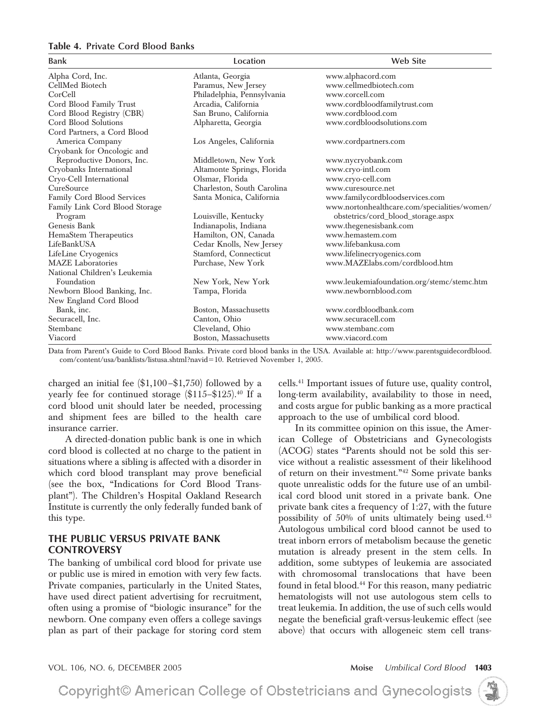### **Table 4. Private Cord Blood Banks**

| <b>Bank</b>                    | Location                   | Web Site                                     |
|--------------------------------|----------------------------|----------------------------------------------|
| Alpha Cord, Inc.               | Atlanta, Georgia           | www.alphacord.com                            |
| CellMed Biotech                | Paramus, New Jersey        | www.cellmedbiotech.com                       |
| CorCell                        | Philadelphia, Pennsylvania | www.corcell.com                              |
| Cord Blood Family Trust        | Arcadia, California        | www.cordbloodfamilytrust.com                 |
| Cord Blood Registry (CBR)      | San Bruno, California      | www.cordblood.com                            |
| Cord Blood Solutions           | Alpharetta, Georgia        | www.cordbloodsolutions.com                   |
| Cord Partners, a Cord Blood    |                            |                                              |
| America Company                | Los Angeles, California    | www.cordpartners.com                         |
| Cryobank for Oncologic and     |                            |                                              |
| Reproductive Donors, Inc.      | Middletown, New York       | www.nycryobank.com                           |
| Cryobanks International        | Altamonte Springs, Florida | www.cryo-intl.com                            |
| Cryo-Cell International        | Olsmar, Florida            | www.cryo-cell.com                            |
| CureSource                     | Charleston, South Carolina | www.curesource.net                           |
| Family Cord Blood Services     | Santa Monica, California   | www.familycordbloodservices.com              |
| Family Link Cord Blood Storage |                            | www.nortonhealthcare.com/specialities/women/ |
| Program                        | Louisville, Kentucky       | obstetrics/cord_blood_storage.aspx           |
| Genesis Bank                   | Indianapolis, Indiana      | www.thegenesisbank.com                       |
| HemaStem Therapeutics          | Hamilton, ON, Canada       | www.hemastem.com                             |
| LifeBankUSA                    | Cedar Knolls, New Jersey   | www.lifebankusa.com                          |
| LifeLine Cryogenics            | Stamford, Connecticut      | www.lifelinecryogenics.com                   |
| <b>MAZE</b> Laboratories       | Purchase, New York         | www.MAZElabs.com/cordblood.htm               |
| National Children's Leukemia   |                            |                                              |
| Foundation                     | New York, New York         | www.leukemiafoundation.org/stemc/stemc.htm   |
| Newborn Blood Banking, Inc.    | Tampa, Florida             | www.newbornblood.com                         |
| New England Cord Blood         |                            |                                              |
| Bank, inc.                     | Boston, Massachusetts      | www.cordbloodbank.com                        |
| Securacell, Inc.               | Canton, Ohio               | www.securacell.com                           |
| Stembanc                       | Cleveland, Ohio            | www.stembanc.com                             |
| Viacord                        | Boston, Massachusetts      | www.viacord.com                              |

Data from Parent's Guide to Cord Blood Banks. Private cord blood banks in the USA. Available at: http://www.parentsguidecordblood. com/content/usa/banklists/listusa.shtml?navid-10. Retrieved November 1, 2005.

charged an initial fee  $(\$1,100-\$1,750)$  followed by a yearly fee for continued storage  $(\$115-\$125).^{40}$  If a cord blood unit should later be needed, processing and shipment fees are billed to the health care insurance carrier.

A directed-donation public bank is one in which cord blood is collected at no charge to the patient in situations where a sibling is affected with a disorder in which cord blood transplant may prove beneficial (see the box, "Indications for Cord Blood Transplant"). The Children's Hospital Oakland Research Institute is currently the only federally funded bank of this type.

# **THE PUBLIC VERSUS PRIVATE BANK CONTROVERSY**

The banking of umbilical cord blood for private use or public use is mired in emotion with very few facts. Private companies, particularly in the United States, have used direct patient advertising for recruitment, often using a promise of "biologic insurance" for the newborn. One company even offers a college savings plan as part of their package for storing cord stem cells.41 Important issues of future use, quality control, long-term availability, availability to those in need, and costs argue for public banking as a more practical approach to the use of umbilical cord blood.

In its committee opinion on this issue, the American College of Obstetricians and Gynecologists (ACOG) states "Parents should not be sold this service without a realistic assessment of their likelihood of return on their investment."42 Some private banks quote unrealistic odds for the future use of an umbilical cord blood unit stored in a private bank. One private bank cites a frequency of 1:27, with the future possibility of  $50\%$  of units ultimately being used.<sup>43</sup> Autologous umbilical cord blood cannot be used to treat inborn errors of metabolism because the genetic mutation is already present in the stem cells. In addition, some subtypes of leukemia are associated with chromosomal translocations that have been found in fetal blood.44 For this reason, many pediatric hematologists will not use autologous stem cells to treat leukemia. In addition, the use of such cells would negate the beneficial graft-versus-leukemic effect (see above) that occurs with allogeneic stem cell trans-

VOL. 106, NO. 6, DECEMBER 2005 **Moise** *Umbilical Cord Blood* **1403**

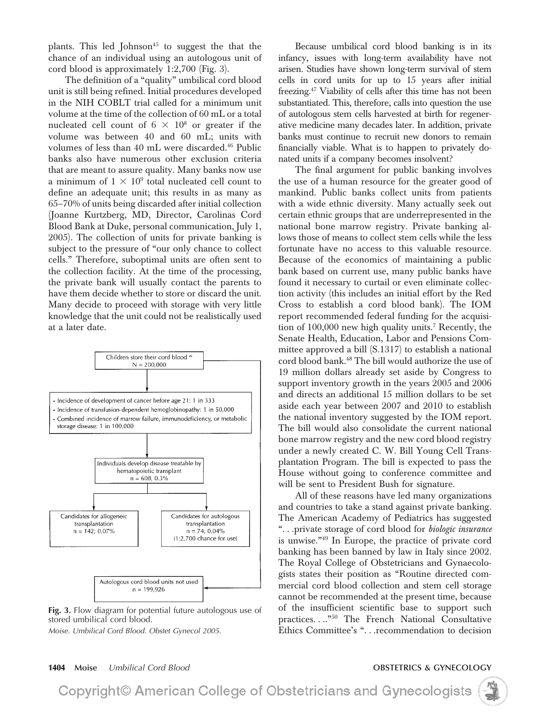plants. This led  $Johnson<sup>45</sup>$  to suggest the that the chance of an individual using an autologous unit of cord blood is approximately 1:2,700 (Fig. 3).

The definition of a "quality" umbilical cord blood unit is still being refined. Initial procedures developed in the NIH COBLT trial called for a minimum unit volume at the time of the collection of 60 mL or a total nucleated cell count of  $6 \times 10^8$  or greater if the volume was between 40 and 60 mL; units with volumes of less than 40 mL were discarded.46 Public banks also have numerous other exclusion criteria that are meant to assure quality. Many banks now use a minimum of  $1 \times 10^9$  total nucleated cell count to define an adequate unit; this results in as many as 65–70% of units being discarded after initial collection (Joanne Kurtzberg, MD, Director, Carolinas Cord Blood Bank at Duke, personal communication, July 1, 2005). The collection of units for private banking is subject to the pressure of "our only chance to collect cells." Therefore, suboptimal units are often sent to the collection facility. At the time of the processing, the private bank will usually contact the parents to have them decide whether to store or discard the unit. Many decide to proceed with storage with very little knowledge that the unit could not be realistically used at a later date.



**Fig. 3.** Flow diagram for potential future autologous use of stored umbilical cord blood.

*Moise. Umbilical Cord Blood. Obstet Gynecol 2005.*

Because umbilical cord blood banking is in its infancy, issues with long-term availability have not arisen. Studies have shown long-term survival of stem cells in cord units for up to 15 years after initial freezing.47 Viability of cells after this time has not been substantiated. This, therefore, calls into question the use of autologous stem cells harvested at birth for regenerative medicine many decades later. In addition, private banks must continue to recruit new donors to remain financially viable. What is to happen to privately donated units if a company becomes insolvent?

The final argument for public banking involves the use of a human resource for the greater good of mankind. Public banks collect units from patients with a wide ethnic diversity. Many actually seek out certain ethnic groups that are underrepresented in the national bone marrow registry. Private banking allows those of means to collect stem cells while the less fortunate have no access to this valuable resource. Because of the economics of maintaining a public bank based on current use, many public banks have found it necessary to curtail or even eliminate collection activity (this includes an initial effort by the Red Cross to establish a cord blood bank). The IOM report recommended federal funding for the acquisition of 100,000 new high quality units.7 Recently, the Senate Health, Education, Labor and Pensions Committee approved a bill (S.1317) to establish a national cord blood bank.<sup>48</sup> The bill would authorize the use of 19 million dollars already set aside by Congress to support inventory growth in the years 2005 and 2006 and directs an additional 15 million dollars to be set aside each year between 2007 and 2010 to establish the national inventory suggested by the IOM report. The bill would also consolidate the current national bone marrow registry and the new cord blood registry under a newly created C. W. Bill Young Cell Transplantation Program. The bill is expected to pass the House without going to conference committee and will be sent to President Bush for signature.

All of these reasons have led many organizations and countries to take a stand against private banking. The American Academy of Pediatrics has suggested ". . .private storage of cord blood for *biologic insurance* is unwise."49 In Europe, the practice of private cord banking has been banned by law in Italy since 2002. The Royal College of Obstetricians and Gynaecologists states their position as "Routine directed commercial cord blood collection and stem cell storage cannot be recommended at the present time, because of the insufficient scientific base to support such practices. . .."50 The French National Consultative Ethics Committee's ". . .recommendation to decision

### **1404 Moise** *Umbilical Cord Blood* **OBSTETRICS & GYNECOLOGY**

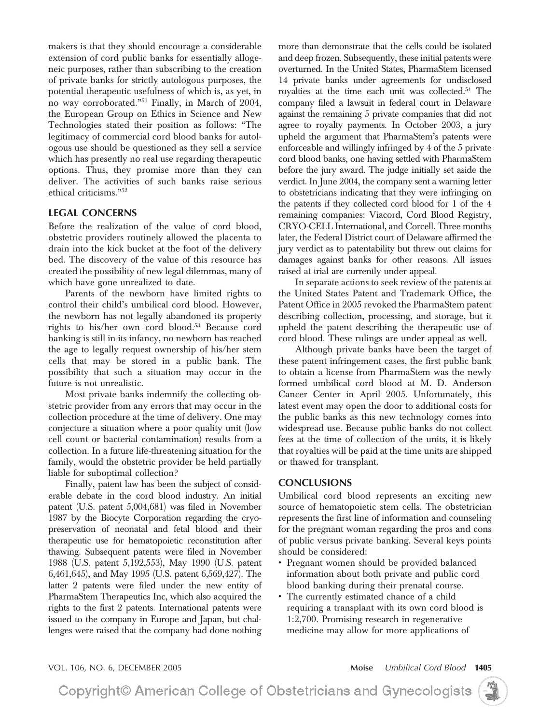makers is that they should encourage a considerable extension of cord public banks for essentially allogeneic purposes, rather than subscribing to the creation of private banks for strictly autologous purposes, the potential therapeutic usefulness of which is, as yet, in no way corroborated."51 Finally, in March of 2004, the European Group on Ethics in Science and New Technologies stated their position as follows: "The legitimacy of commercial cord blood banks for autologous use should be questioned as they sell a service which has presently no real use regarding therapeutic options. Thus, they promise more than they can deliver. The activities of such banks raise serious ethical criticisms."52

### **LEGAL CONCERNS**

Before the realization of the value of cord blood, obstetric providers routinely allowed the placenta to drain into the kick bucket at the foot of the delivery bed. The discovery of the value of this resource has created the possibility of new legal dilemmas, many of which have gone unrealized to date.

Parents of the newborn have limited rights to control their child's umbilical cord blood. However, the newborn has not legally abandoned its property rights to his/her own cord blood.<sup>53</sup> Because cord banking is still in its infancy, no newborn has reached the age to legally request ownership of his/her stem cells that may be stored in a public bank. The possibility that such a situation may occur in the future is not unrealistic.

Most private banks indemnify the collecting obstetric provider from any errors that may occur in the collection procedure at the time of delivery. One may conjecture a situation where a poor quality unit (low cell count or bacterial contamination) results from a collection. In a future life-threatening situation for the family, would the obstetric provider be held partially liable for suboptimal collection?

Finally, patent law has been the subject of considerable debate in the cord blood industry. An initial patent (U.S. patent 5,004,681) was filed in November 1987 by the Biocyte Corporation regarding the cryopreservation of neonatal and fetal blood and their therapeutic use for hematopoietic reconstitution after thawing. Subsequent patents were filed in November 1988 (U.S. patent 5,192,553), May 1990 (U.S. patent 6,461,645), and May 1995 (U.S. patent 6,569,427). The latter 2 patents were filed under the new entity of PharmaStem Therapeutics Inc, which also acquired the rights to the first 2 patents. International patents were issued to the company in Europe and Japan, but challenges were raised that the company had done nothing

more than demonstrate that the cells could be isolated and deep frozen. Subsequently, these initial patents were overturned. In the United States, PharmaStem licensed 14 private banks under agreements for undisclosed royalties at the time each unit was collected.<sup>54</sup> The company filed a lawsuit in federal court in Delaware against the remaining 5 private companies that did not agree to royalty payments. In October 2003, a jury upheld the argument that PharmaStem's patents were enforceable and willingly infringed by 4 of the 5 private cord blood banks, one having settled with PharmaStem before the jury award. The judge initially set aside the verdict. In June 2004, the company sent a warning letter to obstetricians indicating that they were infringing on the patents if they collected cord blood for 1 of the 4 remaining companies: Viacord, Cord Blood Registry, CRYO-CELL International, and Corcell. Three months later, the Federal District court of Delaware affirmed the jury verdict as to patentability but threw out claims for damages against banks for other reasons. All issues raised at trial are currently under appeal.

In separate actions to seek review of the patents at the United States Patent and Trademark Office, the Patent Office in 2005 revoked the PharmaStem patent describing collection, processing, and storage, but it upheld the patent describing the therapeutic use of cord blood. These rulings are under appeal as well.

Although private banks have been the target of these patent infringement cases, the first public bank to obtain a license from PharmaStem was the newly formed umbilical cord blood at M. D. Anderson Cancer Center in April 2005. Unfortunately, this latest event may open the door to additional costs for the public banks as this new technology comes into widespread use. Because public banks do not collect fees at the time of collection of the units, it is likely that royalties will be paid at the time units are shipped or thawed for transplant.

### **CONCLUSIONS**

Umbilical cord blood represents an exciting new source of hematopoietic stem cells. The obstetrician represents the first line of information and counseling for the pregnant woman regarding the pros and cons of public versus private banking. Several keys points should be considered:

- Pregnant women should be provided balanced information about both private and public cord blood banking during their prenatal course.
- The currently estimated chance of a child requiring a transplant with its own cord blood is 1:2,700. Promising research in regenerative medicine may allow for more applications of

VOL. 106, NO. 6, DECEMBER 2005 **Moise** *Umbilical Cord Blood* **1405**

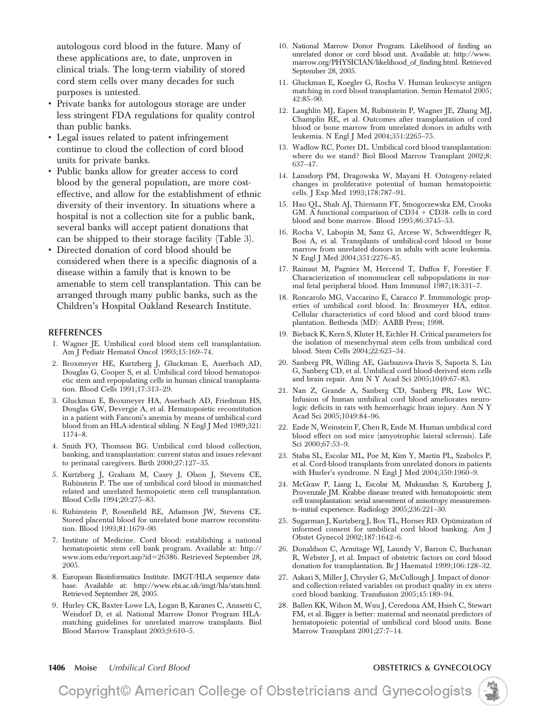autologous cord blood in the future. Many of these applications are, to date, unproven in clinical trials. The long-term viability of stored cord stem cells over many decades for such purposes is untested.

- Private banks for autologous storage are under less stringent FDA regulations for quality control than public banks.
- Legal issues related to patent infringement continue to cloud the collection of cord blood units for private banks.
- Public banks allow for greater access to cord blood by the general population, are more costeffective, and allow for the establishment of ethnic diversity of their inventory. In situations where a hospital is not a collection site for a public bank, several banks will accept patient donations that can be shipped to their storage facility (Table 3).
- Directed donation of cord blood should be considered when there is a specific diagnosis of a disease within a family that is known to be amenable to stem cell transplantation. This can be arranged through many public banks, such as the Children's Hospital Oakland Research Institute.

### **REFERENCES**

- 1. Wagner JE. Umbilical cord blood stem cell transplantation. Am J Pediatr Hematol Oncol 1993;15:169–74.
- 2. Broxmeyer HE, Kurtzberg J, Gluckman E, Auerbach AD, Douglas G, Cooper S, et al. Umbilical cord blood hematopoietic stem and repopulating cells in human clinical transplantation. Blood Cells 1991;17:313–29.
- 3. Gluckman E, Broxmeyer HA, Auerbach AD, Friedman HS, Douglas GW, Devergie A, et al. Hematopoietic reconstitution in a patient with Fanconi's anemia by means of umbilical-cord blood from an HLA-identical sibling. N Engl J Med 1989;321: 1174–8.
- 4. Smith FO, Thomson BG. Umbilical cord blood collection, banking, and transplantation: current status and issues relevant to perinatal caregivers. Birth 2000;27:127–35.
- 5. Kurtzberg J, Graham M, Casey J, Olson J, Stevens CE, Rubinstein P. The use of umbilical cord blood in mismatched related and unrelated hemopoietic stem cell transplantation. Blood Cells 1994;20:275–83.
- 6. Rubinstein P, Rosenfield RE, Adamson JW, Stevens CE. Stored placental blood for unrelated bone marrow reconstitution. Blood 1993;81:1679–90.
- 7. Institute of Medicine. Cord blood: establishing a national hematopoietic stem cell bank program. Available at: http:// www.iom.edu/report.asp?id-26386. Retrieved September 28, 2005.
- 8. European Bioinformatics Institute. IMGT/HLA sequence database. Available at: http://www.ebi.ac.uk/imgt/hla/stats.html. Retrieved September 28, 2005.
- 9. Hurley CK, Baxter-Lowe LA, Logan B, Karanes C, Anasetti C, Weisdorf D, et al. National Marrow Donor Program HLAmatching guidelines for unrelated marrow transplants. Biol Blood Marrow Transplant 2003;9:610–5.
- 10. National Marrow Donor Program. Likelihood of finding an unrelated donor or cord blood unit. Available at: http://www. marrow.org/PHYSICIAN/likelihood\_of\_finding.html. Retrieved September 28, 2005.
- 11. Gluckman E, Koegler G, Rocha V. Human leukocyte antigen matching in cord blood transplantation. Semin Hematol 2005;  $42:85-90.$
- 12. Laughlin MJ, Eapen M, Rubinstein P, Wagner JE, Zhang MJ, Champlin RE, et al. Outcomes after transplantation of cord blood or bone marrow from unrelated donors in adults with leukemia. N Engl J Med 2004;351:2265–75.
- 13. Wadlow RC, Porter DL. Umbilical cord blood transplantation: where do we stand? Biol Blood Marrow Transplant 2002;8: 637–47.
- 14. Lansdorp PM, Dragowska W, Mayani H. Ontogeny-related changes in proliferative potential of human hematopoietic cells. J Exp Med 1993;178:787–91.
- 15. Hao QL, Shah AJ, Thiemann FT, Smogorzewska EM, Crooks GM. A functional comparison of  $CD34 + CD38$ - cells in cord blood and bone marrow. Blood 1995;86:3745–53.
- 16. Rocha V, Labopin M, Sanz G, Arcese W, Schwerdtfeger R, Bosi A, et al. Transplants of umbilical-cord blood or bone marrow from unrelated donors in adults with acute leukemia. N Engl J Med 2004;351:2276–85.
- 17. Rainaut M, Pagniez M, Hercend T, Daffos F, Forestier F. Characterization of mononuclear cell subpopulations in normal fetal peripheral blood. Hum Immunol 1987;18:331–7.
- 18. Roncarolo MG, Vaccarino E, Caracco P. Immunologic properties of umbilical cord blood. In: Broxmeyer HA, editor. Cellular characteristics of cord blood and cord blood transplantation. Bethesda (MD): AABB Press; 1998.
- 19. Bieback K, Kern S, Kluter H, Eichler H. Critical parameters for the isolation of mesenchymal stem cells from umbilical cord blood. Stem Cells 2004;22:625–34.
- 20. Sanberg PR, Willing AE, Garbuzova-Davis S, Saporta S, Liu G, Sanberg CD, et al. Umbilical cord blood-derived stem cells and brain repair. Ann N Y Acad Sci 2005;1049:67–83.
- 21. Nan Z, Grande A, Sanberg CD, Sanberg PR, Low WC. Infusion of human umbilical cord blood ameliorates neurologic deficits in rats with hemorrhagic brain injury. Ann N Y Acad Sci 2005;1049:84–96.
- 22. Ende N, Weinstein F, Chen R, Ende M. Human umbilical cord blood effect on sod mice (amyotrophic lateral sclerosis). Life Sci 2000;67:53–9.
- 23. Staba SL, Escolar ML, Poe M, Kim Y, Martin PL, Szabolcs P, et al. Cord-blood transplants from unrelated donors in patients with Hurler's syndrome. N Engl J Med 2004;350:1960–9.
- 24. McGraw P, Liang L, Escolar M, Mukundan S, Kurtzberg J, Provenzale JM. Krabbe disease treated with hematopoietic stem cell transplantation: serial assessment of anisotropy measurements–initial experience. Radiology 2005;236:221–30.
- 25. Sugarman J, Kurtzberg J, Box TL, Horner RD. Optimization of informed consent for umbilical cord blood banking. Am J Obstet Gynecol 2002;187:1642–6.
- 26. Donaldson C, Armitage WJ, Laundy V, Barron C, Buchanan R, Webster J, et al. Impact of obstetric factors on cord blood donation for transplantation. Br J Haematol 1999;106:128–32.
- 27. Askari S, Miller J, Chrysler G, McCullough J. Impact of donorand collection-related variables on product quality in ex utero cord blood banking. Transfusion 2005;45:189–94.
- 28. Ballen KK, Wilson M, Wuu J, Ceredona AM, Hsieh C, Stewart FM, et al. Bigger is better: maternal and neonatal predictors of hematopoietic potential of umbilical cord blood units. Bone Marrow Transplant 2001;27:7–14.

**1406 Moise** *Umbilical Cord Blood* **OBSTETRICS & GYNECOLOGY**